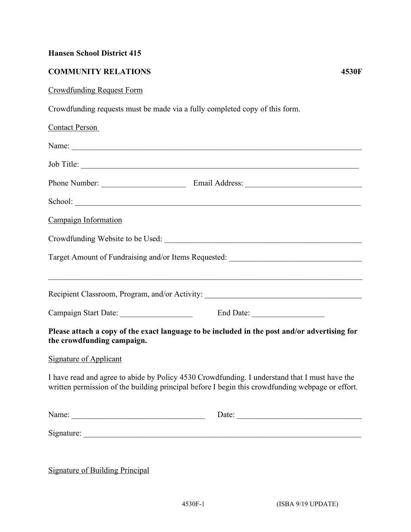## **Hansen School District 415**

## **COMMUNITY RELATIONS 4530F**

## Crowdfunding Request Form

Crowdfunding requests must be made via a fully completed copy of this form.

| <b>Contact Person</b>                                                                                                                                                                             |                                                                                   |
|---------------------------------------------------------------------------------------------------------------------------------------------------------------------------------------------------|-----------------------------------------------------------------------------------|
| Name:                                                                                                                                                                                             |                                                                                   |
|                                                                                                                                                                                                   |                                                                                   |
|                                                                                                                                                                                                   |                                                                                   |
|                                                                                                                                                                                                   | School: <u>Communication</u>                                                      |
| Campaign Information                                                                                                                                                                              |                                                                                   |
|                                                                                                                                                                                                   |                                                                                   |
|                                                                                                                                                                                                   | Target Amount of Fundraising and/or Items Requested: ____________________________ |
|                                                                                                                                                                                                   | Recipient Classroom, Program, and/or Activity: _________________________________  |
|                                                                                                                                                                                                   |                                                                                   |
| Please attach a copy of the exact language to be included in the post and/or advertising for<br>the crowdfunding campaign.                                                                        |                                                                                   |
| <b>Signature of Applicant</b>                                                                                                                                                                     |                                                                                   |
| I have read and agree to abide by Policy 4530 Crowdfunding. I understand that I must have the<br>written permission of the building principal before I begin this crowdfunding webpage or effort. |                                                                                   |
|                                                                                                                                                                                                   | Date:                                                                             |
|                                                                                                                                                                                                   |                                                                                   |
|                                                                                                                                                                                                   |                                                                                   |

Signature of Building Principal